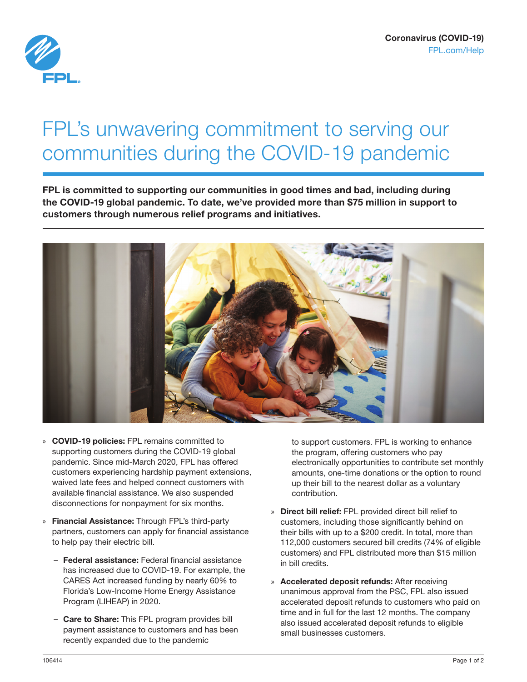

## FPL's unwavering commitment to serving our communities during the COVID-19 pandemic

FPL is committed to supporting our communities in good times and bad, including during the COVID-19 global pandemic. To date, we've provided more than \$75 million in support to customers through numerous relief programs and initiatives.



- » COVID-19 policies: FPL remains committed to supporting customers during the COVID-19 global pandemic. Since mid-March 2020, FPL has offered customers experiencing hardship payment extensions, waived late fees and helped connect customers with available financial assistance. We also suspended disconnections for nonpayment for six months.
- » Financial Assistance: Through FPL's third-party partners, customers can apply for financial assistance to help pay their electric bill.
	- Federal assistance: Federal financial assistance has increased due to COVID-19. For example, the CARES Act increased funding by nearly 60% to Florida's Low-Income Home Energy Assistance Program (LIHEAP) in 2020.
	- Care to Share: This FPL program provides bill payment assistance to customers and has been recently expanded due to the pandemic

to support customers. FPL is working to enhance the program, offering customers who pay electronically opportunities to contribute set monthly amounts, one-time donations or the option to round up their bill to the nearest dollar as a voluntary contribution.

- » Direct bill relief: FPL provided direct bill relief to customers, including those significantly behind on their bills with up to a \$200 credit. In total, more than 112,000 customers secured bill credits (74% of eligible customers) and FPL distributed more than \$15 million in bill credits.
- » Accelerated deposit refunds: After receiving unanimous approval from the PSC, FPL also issued accelerated deposit refunds to customers who paid on time and in full for the last 12 months. The company also issued accelerated deposit refunds to eligible small businesses customers.